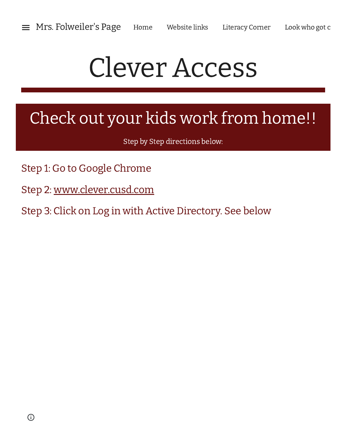## Clever Access

## Check out your kids work from home!!

Step by Step directions below:

- Step 1: Go to Google Chrome
- Step 2: [www.clever.cusd.com](http://www.google.com/url?q=http%3A%2F%2Fwww.clever.cusd.com&sa=D&sntz=1&usg=AFQjCNHid3FWOqN7k1LUHe2Ct5h14fsn_Q)
- Step 3: Click on Log in with Active Directory. See below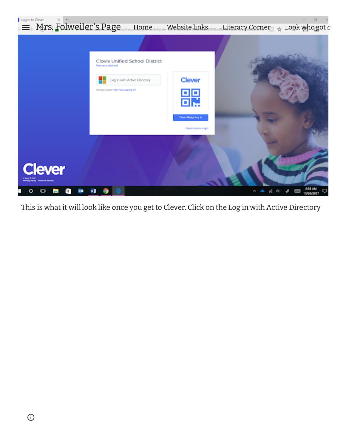

This is what it will look like once you get to Clever. Click on the Log in with Active Directory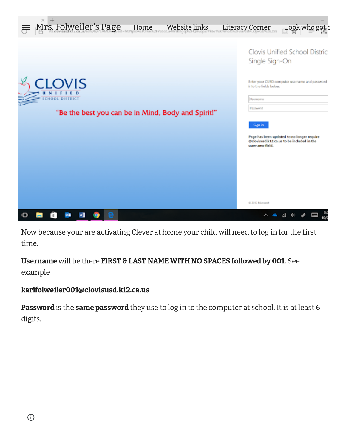

Now because your are activating Clever at home your child will need to log in for the first time.

Username will be there FIRST & LAST NAME WITH NO SPACES followed by 001. See example

## [karifolweiler001@clovisusd.k12.ca.us](mailto:karifolweiler001@clovisusd.k12.ca.us)

Password is the same password they use to log in to the computer at school. It is at least 6 digits.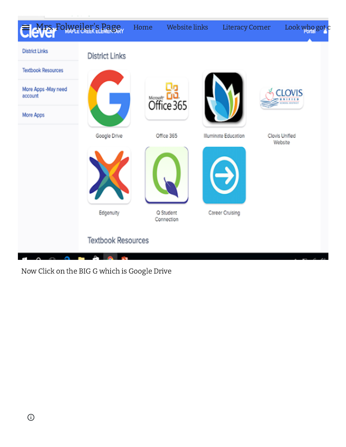

Now Click on the BIG G which is Google Drive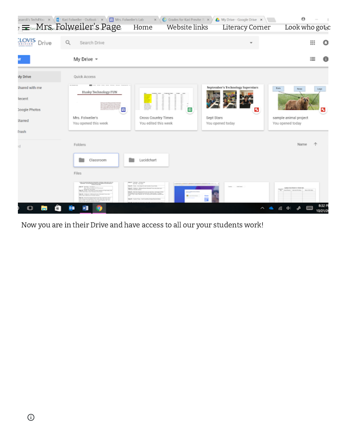|                          | asaroli's Tech4You X (C Kari Folweller - Outlook \ X \ T Mrs. Folweller's Lab<br>$\equiv$ Mrs. Folweiler's Page | Home<br>Website links                                                                                                                                                                                                                                              |                                | $\mathbf{x} \setminus \mathbf{C}$ Grades for Kari Previte: $\mathbb{N} \times \mathbb{N}$ My Drive - Google Drive $\mathbf{x} \setminus \mathbb{N}$<br>Literacy Corner | Θ<br>Look who got c                                                       |                  |
|--------------------------|-----------------------------------------------------------------------------------------------------------------|--------------------------------------------------------------------------------------------------------------------------------------------------------------------------------------------------------------------------------------------------------------------|--------------------------------|------------------------------------------------------------------------------------------------------------------------------------------------------------------------|---------------------------------------------------------------------------|------------------|
| <b>LOVIS</b> Drive       | Search Drive<br>Q                                                                                               |                                                                                                                                                                                                                                                                    |                                |                                                                                                                                                                        | ₩                                                                         | ٥                |
|                          | My Drive -                                                                                                      |                                                                                                                                                                                                                                                                    |                                |                                                                                                                                                                        | 這                                                                         |                  |
| Wy Drive                 | Quick Access                                                                                                    |                                                                                                                                                                                                                                                                    |                                |                                                                                                                                                                        |                                                                           |                  |
| Shared with me<br>tecent | Husky Technology FUN                                                                                            |                                                                                                                                                                                                                                                                    |                                | September's Technology Superstars                                                                                                                                      | Ears<br>Note                                                              | Linga            |
| <b>Soogle Photos</b>     | 団                                                                                                               | <b>The Content</b><br>minum<br>,,,,,,,,,<br><br><br>'n                                                                                                                                                                                                             |                                | ×                                                                                                                                                                      |                                                                           | ø                |
| <b>Starred</b><br>frash  | Mrs. Folweiler's<br>You opened this week                                                                        | Cross Country Times<br>You edited this week                                                                                                                                                                                                                        | Sept Stars<br>You opened today |                                                                                                                                                                        | sample animal project<br>You opened today                                 |                  |
| юI                       | Folders                                                                                                         |                                                                                                                                                                                                                                                                    |                                |                                                                                                                                                                        | Name                                                                      | 办                |
|                          | Classroom                                                                                                       | Lucidchart                                                                                                                                                                                                                                                         |                                |                                                                                                                                                                        |                                                                           |                  |
|                          | Files                                                                                                           |                                                                                                                                                                                                                                                                    |                                |                                                                                                                                                                        |                                                                           |                  |
|                          | sent in North No. 10-500 B.P.                                                                                   | <b>MARK SERVICE</b><br>Back their discussions and activities and<br><b>BANE</b> Compare Bennyllouse Record <sup>ious</sup> and the pro-<br>Mich in Wolfe Anton<br>All .- The be business our programs - to street three<br><b>BAIR</b> FAIR TOA TALTAERATAK/NATION |                                |                                                                                                                                                                        | Larra Carolinas a cilente bol<br>The motion measures<br><b>BASIC BALL</b> |                  |
|                          | <b>OB</b>                                                                                                       |                                                                                                                                                                                                                                                                    |                                | Λ                                                                                                                                                                      | R.<br>÷                                                                   | 832 P<br>10/21/2 |

Now you are in their Drive and have access to all our your students work!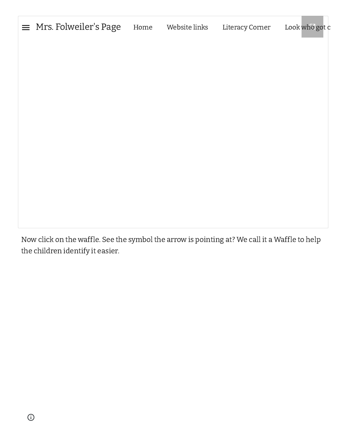Mrs. [Folweiler's](https://sites.google.com/clovisusd.k12.ca.us/mrs-folweilers-page/home) Page [Home](https://sites.google.com/clovisusd.k12.ca.us/mrs-folweilers-page/home) [Website](https://sites.google.com/clovisusd.k12.ca.us/mrs-folweilers-page/website-links) links [Literacy](https://sites.google.com/clovisusd.k12.ca.us/mrs-folweilers-page/literacy-corner) Corner [Look](https://sites.google.com/clovisusd.k12.ca.us/mrs-folweilers-page/look-who-got-caught-reading) [who](https://docs.google.com/file/d/1xt9F14YH6T8uEB-zjsZnfp_m-lGfZwPet9mofZm6Obw/edit) got c  $\equiv$ 

Now click on the waffle. See the symbol the arrow is pointing at? We call it a Waffle to help the children identify it easier.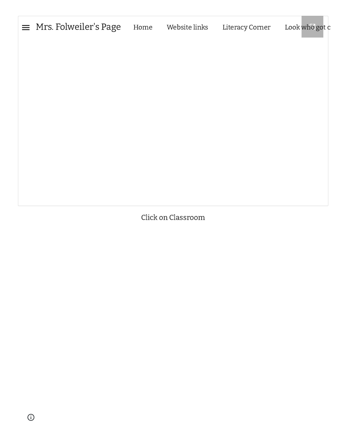| $\equiv$ Mrs. Folweiler's Page | Home | Website links | Literacy Corner | Look who got c |
|--------------------------------|------|---------------|-----------------|----------------|
|                                |      |               |                 |                |
|                                |      |               |                 |                |
|                                |      |               |                 |                |
|                                |      |               |                 |                |
|                                |      |               |                 |                |
|                                |      |               |                 |                |
|                                |      |               |                 |                |

Click on Classroom